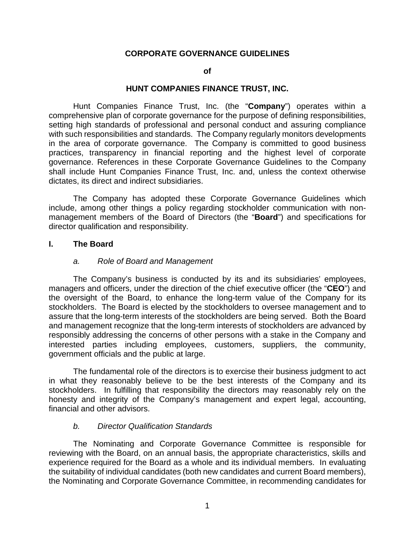#### **CORPORATE GOVERNANCE GUIDELINES**

#### **of**

#### **HUNT COMPANIES FINANCE TRUST, INC.**

Hunt Companies Finance Trust, Inc. (the "**Company**") operates within a comprehensive plan of corporate governance for the purpose of defining responsibilities, setting high standards of professional and personal conduct and assuring compliance with such responsibilities and standards. The Company regularly monitors developments in the area of corporate governance. The Company is committed to good business practices, transparency in financial reporting and the highest level of corporate governance. References in these Corporate Governance Guidelines to the Company shall include Hunt Companies Finance Trust, Inc. and, unless the context otherwise dictates, its direct and indirect subsidiaries.

The Company has adopted these Corporate Governance Guidelines which include, among other things a policy regarding stockholder communication with nonmanagement members of the Board of Directors (the "**Board**") and specifications for director qualification and responsibility.

#### **I. The Board**

#### *a. Role of Board and Management*

The Company's business is conducted by its and its subsidiaries' employees, managers and officers, under the direction of the chief executive officer (the "**CEO**") and the oversight of the Board, to enhance the long-term value of the Company for its stockholders. The Board is elected by the stockholders to oversee management and to assure that the long-term interests of the stockholders are being served. Both the Board and management recognize that the long-term interests of stockholders are advanced by responsibly addressing the concerns of other persons with a stake in the Company and interested parties including employees, customers, suppliers, the community, government officials and the public at large.

The fundamental role of the directors is to exercise their business judgment to act in what they reasonably believe to be the best interests of the Company and its stockholders. In fulfilling that responsibility the directors may reasonably rely on the honesty and integrity of the Company's management and expert legal, accounting, financial and other advisors.

#### *b. Director Qualification Standards*

The Nominating and Corporate Governance Committee is responsible for reviewing with the Board, on an annual basis, the appropriate characteristics, skills and experience required for the Board as a whole and its individual members. In evaluating the suitability of individual candidates (both new candidates and current Board members), the Nominating and Corporate Governance Committee, in recommending candidates for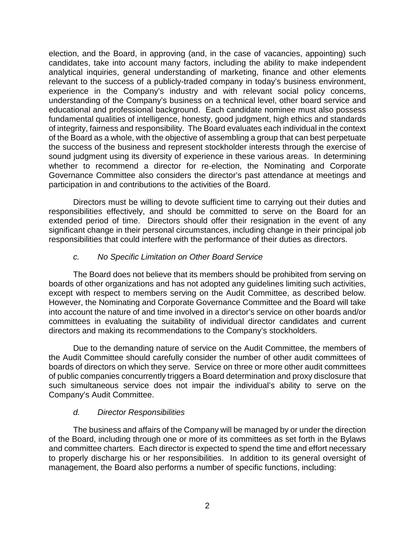election, and the Board, in approving (and, in the case of vacancies, appointing) such candidates, take into account many factors, including the ability to make independent analytical inquiries, general understanding of marketing, finance and other elements relevant to the success of a publicly-traded company in today's business environment, experience in the Company's industry and with relevant social policy concerns, understanding of the Company's business on a technical level, other board service and educational and professional background. Each candidate nominee must also possess fundamental qualities of intelligence, honesty, good judgment, high ethics and standards of integrity, fairness and responsibility. The Board evaluates each individual in the context of the Board as a whole, with the objective of assembling a group that can best perpetuate the success of the business and represent stockholder interests through the exercise of sound judgment using its diversity of experience in these various areas. In determining whether to recommend a director for re-election, the Nominating and Corporate Governance Committee also considers the director's past attendance at meetings and participation in and contributions to the activities of the Board.

Directors must be willing to devote sufficient time to carrying out their duties and responsibilities effectively, and should be committed to serve on the Board for an extended period of time. Directors should offer their resignation in the event of any significant change in their personal circumstances, including change in their principal job responsibilities that could interfere with the performance of their duties as directors.

#### *c. No Specific Limitation on Other Board Service*

The Board does not believe that its members should be prohibited from serving on boards of other organizations and has not adopted any guidelines limiting such activities, except with respect to members serving on the Audit Committee, as described below. However, the Nominating and Corporate Governance Committee and the Board will take into account the nature of and time involved in a director's service on other boards and/or committees in evaluating the suitability of individual director candidates and current directors and making its recommendations to the Company's stockholders.

Due to the demanding nature of service on the Audit Committee, the members of the Audit Committee should carefully consider the number of other audit committees of boards of directors on which they serve. Service on three or more other audit committees of public companies concurrently triggers a Board determination and proxy disclosure that such simultaneous service does not impair the individual's ability to serve on the Company's Audit Committee.

## *d. Director Responsibilities*

The business and affairs of the Company will be managed by or under the direction of the Board, including through one or more of its committees as set forth in the Bylaws and committee charters. Each director is expected to spend the time and effort necessary to properly discharge his or her responsibilities. In addition to its general oversight of management, the Board also performs a number of specific functions, including: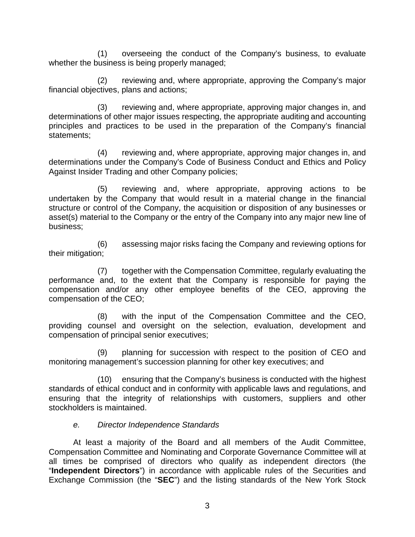(1) overseeing the conduct of the Company's business, to evaluate whether the business is being properly managed;

(2) reviewing and, where appropriate, approving the Company's major financial objectives, plans and actions;

(3) reviewing and, where appropriate, approving major changes in, and determinations of other major issues respecting, the appropriate auditing and accounting principles and practices to be used in the preparation of the Company's financial statements;

(4) reviewing and, where appropriate, approving major changes in, and determinations under the Company's Code of Business Conduct and Ethics and Policy Against Insider Trading and other Company policies;

(5) reviewing and, where appropriate, approving actions to be undertaken by the Company that would result in a material change in the financial structure or control of the Company, the acquisition or disposition of any businesses or asset(s) material to the Company or the entry of the Company into any major new line of business;

(6) assessing major risks facing the Company and reviewing options for their mitigation;

(7) together with the Compensation Committee, regularly evaluating the performance and, to the extent that the Company is responsible for paying the compensation and/or any other employee benefits of the CEO, approving the compensation of the CEO;

(8) with the input of the Compensation Committee and the CEO, providing counsel and oversight on the selection, evaluation, development and compensation of principal senior executives;

(9) planning for succession with respect to the position of CEO and monitoring management's succession planning for other key executives; and

(10) ensuring that the Company's business is conducted with the highest standards of ethical conduct and in conformity with applicable laws and regulations, and ensuring that the integrity of relationships with customers, suppliers and other stockholders is maintained.

#### *e. Director Independence Standards*

At least a majority of the Board and all members of the Audit Committee, Compensation Committee and Nominating and Corporate Governance Committee will at all times be comprised of directors who qualify as independent directors (the "**Independent Directors**") in accordance with applicable rules of the Securities and Exchange Commission (the "**SEC**") and the listing standards of the New York Stock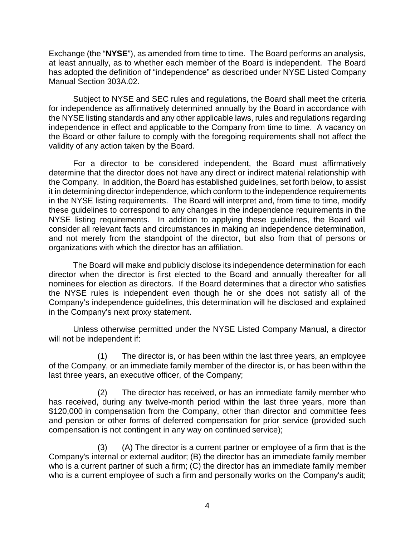Exchange (the "**NYSE**"), as amended from time to time. The Board performs an analysis, at least annually, as to whether each member of the Board is independent. The Board has adopted the definition of "independence" as described under NYSE Listed Company Manual Section 303A.02.

Subject to NYSE and SEC rules and regulations, the Board shall meet the criteria for independence as affirmatively determined annually by the Board in accordance with the NYSE listing standards and any other applicable laws, rules and regulations regarding independence in effect and applicable to the Company from time to time. A vacancy on the Board or other failure to comply with the foregoing requirements shall not affect the validity of any action taken by the Board.

For a director to be considered independent, the Board must affirmatively determine that the director does not have any direct or indirect material relationship with the Company. In addition, the Board has established guidelines, set forth below, to assist it in determining director independence, which conform to the independence requirements in the NYSE listing requirements. The Board will interpret and, from time to time, modify these guidelines to correspond to any changes in the independence requirements in the NYSE listing requirements. In addition to applying these guidelines, the Board will consider all relevant facts and circumstances in making an independence determination, and not merely from the standpoint of the director, but also from that of persons or organizations with which the director has an affiliation.

The Board will make and publicly disclose its independence determination for each director when the director is first elected to the Board and annually thereafter for all nominees for election as directors. If the Board determines that a director who satisfies the NYSE rules is independent even though he or she does not satisfy all of the Company's independence guidelines, this determination will he disclosed and explained in the Company's next proxy statement.

Unless otherwise permitted under the NYSE Listed Company Manual, a director will not be independent if:

(1) The director is, or has been within the last three years, an employee of the Company, or an immediate family member of the director is, or has been within the last three years, an executive officer, of the Company;

(2) The director has received, or has an immediate family member who has received, during any twelve-month period within the last three years, more than \$120,000 in compensation from the Company, other than director and committee fees and pension or other forms of deferred compensation for prior service (provided such compensation is not contingent in any way on continued service);

(3) (A) The director is a current partner or employee of a firm that is the Company's internal or external auditor; (B) the director has an immediate family member who is a current partner of such a firm; (C) the director has an immediate family member who is a current employee of such a firm and personally works on the Company's audit;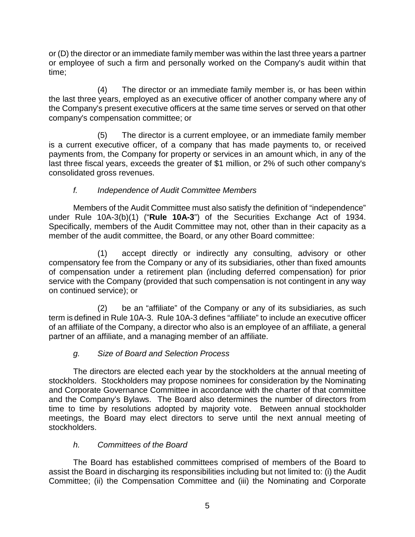or (D) the director or an immediate family member was within the last three years a partner or employee of such a firm and personally worked on the Company's audit within that time;

(4) The director or an immediate family member is, or has been within the last three years, employed as an executive officer of another company where any of the Company's present executive officers at the same time serves or served on that other company's compensation committee; or

(5) The director is a current employee, or an immediate family member is a current executive officer, of a company that has made payments to, or received payments from, the Company for property or services in an amount which, in any of the last three fiscal years, exceeds the greater of \$1 million, or 2% of such other company's consolidated gross revenues.

# *f. Independence of Audit Committee Members*

Members of the Audit Committee must also satisfy the definition of "independence" under Rule 10A-3(b)(1) ("**Rule 10A-3**") of the Securities Exchange Act of 1934. Specifically, members of the Audit Committee may not, other than in their capacity as a member of the audit committee, the Board, or any other Board committee:

(1) accept directly or indirectly any consulting, advisory or other compensatory fee from the Company or any of its subsidiaries, other than fixed amounts of compensation under a retirement plan (including deferred compensation) for prior service with the Company (provided that such compensation is not contingent in any way on continued service); or

(2) be an "affiliate" of the Company or any of its subsidiaries, as such term is defined in Rule 10A-3. Rule 10A-3 defines "affiliate" to include an executive officer of an affiliate of the Company, a director who also is an employee of an affiliate, a general partner of an affiliate, and a managing member of an affiliate.

# *g. Size of Board and Selection Process*

The directors are elected each year by the stockholders at the annual meeting of stockholders. Stockholders may propose nominees for consideration by the Nominating and Corporate Governance Committee in accordance with the charter of that committee and the Company's Bylaws. The Board also determines the number of directors from time to time by resolutions adopted by majority vote. Between annual stockholder meetings, the Board may elect directors to serve until the next annual meeting of stockholders.

# *h. Committees of the Board*

The Board has established committees comprised of members of the Board to assist the Board in discharging its responsibilities including but not limited to: (i) the Audit Committee; (ii) the Compensation Committee and (iii) the Nominating and Corporate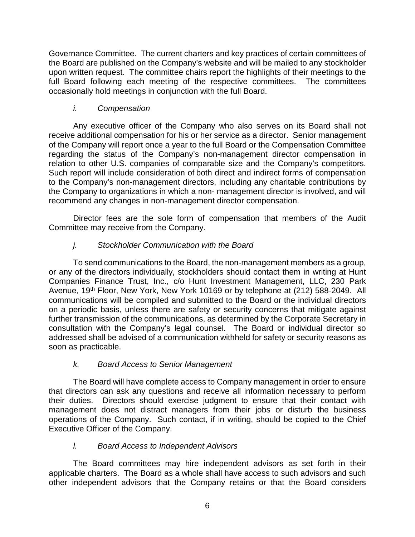Governance Committee. The current charters and key practices of certain committees of the Board are published on the Company's website and will be mailed to any stockholder upon written request. The committee chairs report the highlights of their meetings to the full Board following each meeting of the respective committees. The committees occasionally hold meetings in conjunction with the full Board.

## *i. Compensation*

Any executive officer of the Company who also serves on its Board shall not receive additional compensation for his or her service as a director. Senior management of the Company will report once a year to the full Board or the Compensation Committee regarding the status of the Company's non-management director compensation in relation to other U.S. companies of comparable size and the Company's competitors. Such report will include consideration of both direct and indirect forms of compensation to the Company's non-management directors, including any charitable contributions by the Company to organizations in which a non- management director is involved, and will recommend any changes in non-management director compensation.

Director fees are the sole form of compensation that members of the Audit Committee may receive from the Company.

# *j. Stockholder Communication with the Board*

To send communications to the Board, the non-management members as a group, or any of the directors individually, stockholders should contact them in writing at Hunt Companies Finance Trust, Inc., c/o Hunt Investment Management, LLC, 230 Park Avenue, 19th Floor, New York, New York 10169 or by telephone at (212) 588-2049. All communications will be compiled and submitted to the Board or the individual directors on a periodic basis, unless there are safety or security concerns that mitigate against further transmission of the communications, as determined by the Corporate Secretary in consultation with the Company's legal counsel. The Board or individual director so addressed shall be advised of a communication withheld for safety or security reasons as soon as practicable.

## *k. Board Access to Senior Management*

The Board will have complete access to Company management in order to ensure that directors can ask any questions and receive all information necessary to perform their duties. Directors should exercise judgment to ensure that their contact with management does not distract managers from their jobs or disturb the business operations of the Company. Such contact, if in writing, should be copied to the Chief Executive Officer of the Company.

# *l. Board Access to Independent Advisors*

The Board committees may hire independent advisors as set forth in their applicable charters. The Board as a whole shall have access to such advisors and such other independent advisors that the Company retains or that the Board considers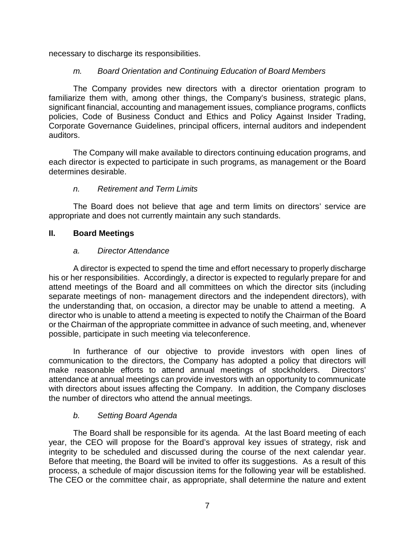necessary to discharge its responsibilities.

## *m. Board Orientation and Continuing Education of Board Members*

The Company provides new directors with a director orientation program to familiarize them with, among other things, the Company's business, strategic plans, significant financial, accounting and management issues, compliance programs, conflicts policies, Code of Business Conduct and Ethics and Policy Against Insider Trading, Corporate Governance Guidelines, principal officers, internal auditors and independent auditors.

The Company will make available to directors continuing education programs, and each director is expected to participate in such programs, as management or the Board determines desirable.

## *n. Retirement and Term Limits*

The Board does not believe that age and term limits on directors' service are appropriate and does not currently maintain any such standards.

#### **II. Board Meetings**

#### *a. Director Attendance*

A director is expected to spend the time and effort necessary to properly discharge his or her responsibilities. Accordingly, a director is expected to regularly prepare for and attend meetings of the Board and all committees on which the director sits (including separate meetings of non- management directors and the independent directors), with the understanding that, on occasion, a director may be unable to attend a meeting. A director who is unable to attend a meeting is expected to notify the Chairman of the Board or the Chairman of the appropriate committee in advance of such meeting, and, whenever possible, participate in such meeting via teleconference.

In furtherance of our objective to provide investors with open lines of communication to the directors, the Company has adopted a policy that directors will make reasonable efforts to attend annual meetings of stockholders. Directors' attendance at annual meetings can provide investors with an opportunity to communicate with directors about issues affecting the Company. In addition, the Company discloses the number of directors who attend the annual meetings.

## *b. Setting Board Agenda*

The Board shall be responsible for its agenda. At the last Board meeting of each year, the CEO will propose for the Board's approval key issues of strategy, risk and integrity to be scheduled and discussed during the course of the next calendar year. Before that meeting, the Board will be invited to offer its suggestions. As a result of this process, a schedule of major discussion items for the following year will be established. The CEO or the committee chair, as appropriate, shall determine the nature and extent